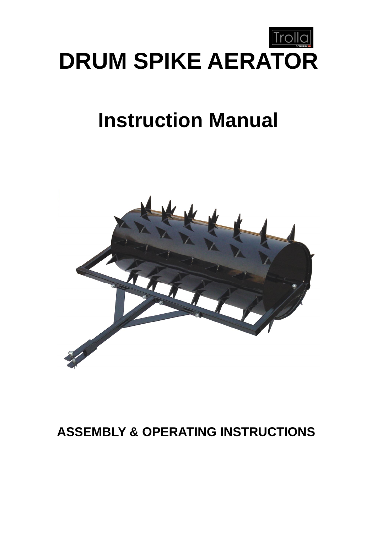

# **Instruction Manual**



## **ASSEMBLY & OPERATING INSTRUCTIONS**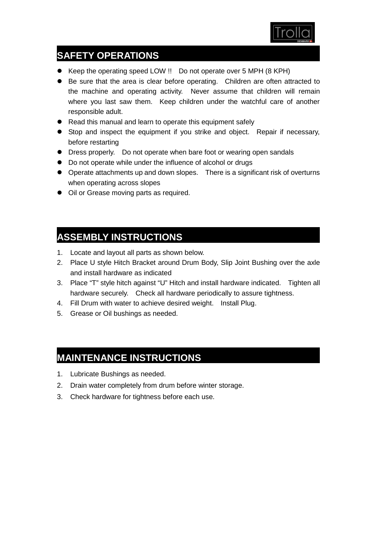

### **SAFETY OPERATIONS**

- Keep the operating speed LOW !! Do not operate over 5 MPH (8 KPH)
- Be sure that the area is clear before operating. Children are often attracted to the machine and operating activity. Never assume that children will remain where you last saw them. Keep children under the watchful care of another responsible adult.
- Read this manual and learn to operate this equipment safely
- **•** Stop and inspect the equipment if you strike and object. Repair if necessary, before restarting
- **•** Dress properly. Do not operate when bare foot or wearing open sandals
- Do not operate while under the influence of alcohol or drugs
- Operate attachments up and down slopes. There is a significant risk of overturns when operating across slopes
- $\bullet$  Oil or Grease moving parts as required.

#### **ASSEMBLY INSTRUCTIONS**

- 1. Locate and layout all parts as shown below.
- 2. Place U style Hitch Bracket around Drum Body, Slip Joint Bushing over the axle and install hardware as indicated
- 3. Place "T" style hitch against "U" Hitch and install hardware indicated. Tighten all hardware securely. Check all hardware periodically to assure tightness.
- 4. Fill Drum with water to achieve desired weight. Install Plug.
- 5. Grease or Oil bushings as needed.

#### **MAINTENANCE INSTRUCTIONS**

- 1. Lubricate Bushings as needed.
- 2. Drain water completely from drum before winter storage.
- 3. Check hardware for tightness before each use.